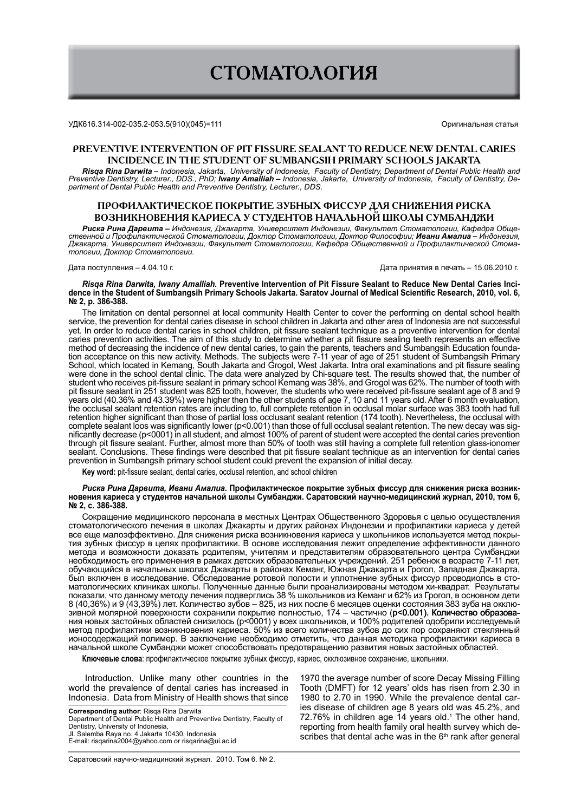## УДК616.314-002-035.2-053.5(910)(045)=111 Оригинальная статья

# **Preventive intervention of pit fissure sealant to reduce new dental caries incidence in the student of sumbangsih primary schools jakarta**

*Risqa Rina Darwita* **–** *Indonesia, Jakarta, University of Indonesia, Faculty of Dentistry, Department of Dental Public Health and*  Preventive Dentistry, Lecturer., DDS., PhD; **Iwany Amalliah –** Indonesia, Jakarta, University of Indonesia, Faculty of Dentistry, De-<br>partment of Dental Public Health and Preventive Dentistry, Lecturer., DDS.

# **Профилактическое покрытие зубных фиссур для снижения риска возникновения кариеса у студентов начальной школы сумбанджи**

*Риска Рина Дарвита – Индонезия, Джакарта, Университет Индонезии, Факультет Стоматологии, Кафедра Обще*ственной и Профилактической Стоматологии, Доктор Стоматологии, Доктор Философии; **Ивани Амалиа –** Индонезия,<br>Джакарта, Университет Индонезии, Факультет Стоматологии, Кафедра Общественной и Профилактической Стома*тологии, Доктор Стоматологии.*

Дата поступления – 4.04.10 г. Дата принятия в печать – 15.06.2010 г.

## *Risqa Rina Darwita, Iwany Amalliah.* **Preventive Intervention of Pit Fissure Sealant to Reduce New Dental Caries Incidence in the Student of Sumbangsih Primary Schools Jakarta. Saratov Journal of Medical Scientific Research, 2010, vol. 6, № 2, p. 386-388.**

The limitation on dental personnel at local community Health Center to cover the performing on dental school health service, the prevention for dental caries disease in school children in Jakarta and other area of Indonesia are not successful yet. In order to reduce dental caries in school children, pit fissure sealant technique as a preventive intervention for dental caries prevention activities. The aim of this study to determine whether a pit fissure sealing teeth represents an effective method of decreasing the incidence of new dental caries, to gain the parents, teachers and Sumbangsih Education founda-<br>tion acceptance on this new activity. Methods. The subjects were 7-11 year of age of 251 student of Su School, which located in Kemang, South Jakarta and Grogol, West Jakarta. Intra oral examinations and pit fissure sealing were done in the school dental clinic. The data were analyzed by Chi-square test. The results showed that, the number of student who receives pit-fissure sealant in primary school Kemang was 38%, and Grogol was 62%. The number of tooth with pit fissure sealant in 251 student was 825 tooth, however, the students who were received pit-fissure sealant age of 8 and 9 years old (40.36% and 43.39%) were higher then the other students of age 7, 10 and 11 years old. After 6 month evaluation, the occlusal sealant retention rates are including to, full complete retention in occlusal molar surface was 383 tooth had full retention higher significant than those of partial loss occlusant sealant retention (174 tooth). Nevertheless, the occlusal with complete sealant loos was significantly lower (p<0.001) than those of full occlusal sealant retention. The new decay was sig-<br>nificantly decrease (p<0001) in all student, and almost 100% of parent of student were accepted through pit fissure sealant. Further, almost more than 50% of tooth was still having a complete full retention glass-ionomer sealant. Conclusions. These findings were described that pit fissure sealant technique as an intervention for dental caries prevention in Sumbangsih primary school student could prevent the expansion of initial decay.

**Key word:** pit-fissure sealant, dental caries, occlusal retention, and school children

## *Риска Рина Дарвита, Ивани Амалиа.* **Профилактическое покрытие зубных фиссур для снижения риска возникновения кариеса у студентов начальной школы Сумбанджи. Саратовский научно-медицинский журнал, 2010, том 6, № 2, с. 386-388.**

Сокращение медицинского персонала в местных Центрах Общественного Здоровья с целью осуществления стоматологического лечения в школах Джакарты и других районах Индонезии и профилактики кариеса у детей все еще малоэффективно. Для снижения риска возникновения кариеса у школьников используется метод покрытия зубных фиссур в целях профилактики. В основе исследования лежит определение эффективности данного метода и возможности доказать родителям, учителям и представителям образовательного центра Сумбанджи необходимость его применения в рамках детских образовательных учреждений. 251 ребенок в возрасте 7-11 лет, обучающийся в начальных школах Джакарты в районах Кеманг, Южная Джакарта и Грогол, Западная Джакарта, был включен в исследование. Обследование ротовой полости и уплотнение зубных фиссур проводиолсь в стоматологических клиниках школы. Полученные данные были проанализированы методом хи-квадрат. Результаты показали, что данному методу лечения подверглись 38 % школьников из Кеманг и 62% из Грогол, в основном дети 8 (40,36%) и 9 (43,39%) лет. Количество зубов – 825, из них после 6 месяцев оценки состояния 383 зуба на окклюзивной молярной поверхности сохранили покрытие полностью, 174 – частично (p<0.001). Количе**ство образова**ния новых застойных областей снизилось (p<0001) у всех школьников, и 100% родителей одобрили исследуемый метод профилактики возникновения кариеса. 50% из всего количества зубов до сих пор сохраняют стеклянный ионосодержащий полимер. В заключение необходимо отметить, что данная методика профилактики кариеса в начальной школе Сумбанджи может способствовать предотвращению развития новых застойных областей.

**Ключевые слова**: профилактическое покрытие зубных фиссур, кариес, окклюзивное сохранение, школьники.

1 Introduction. Unlike many other countries in the world the prevalence of dental caries has increased in Indonesia. Data from Ministry of Health shows that since

**Corresponding author**: Risqa Rina Darwita

Department of Dental Public Health and Preventive Dentistry, Faculty of Dentistry, University of Indonesia,

E-mail: risqarina2004@yahoo.com or risqarina@ui.ac.id

1970 the average number of score Decay Missing Filling Tooth (DMFT) for 12 years' olds has risen from 2.30 in 1980 to 2.70 in 1990. While the prevalence dental caries disease of children age 8 years old was 45.2%, and  $72.76\%$  in children age  $14$  years old.<sup>1</sup> The other hand, reporting from health family oral health survey which describes that dental ache was in the  $6<sup>th</sup>$  rank after general

Jl. Salemba Raya no. 4 Jakarta 10430, Indonesia

Саратовский научно-медицинский журнал. 2010. Том 6. № 2.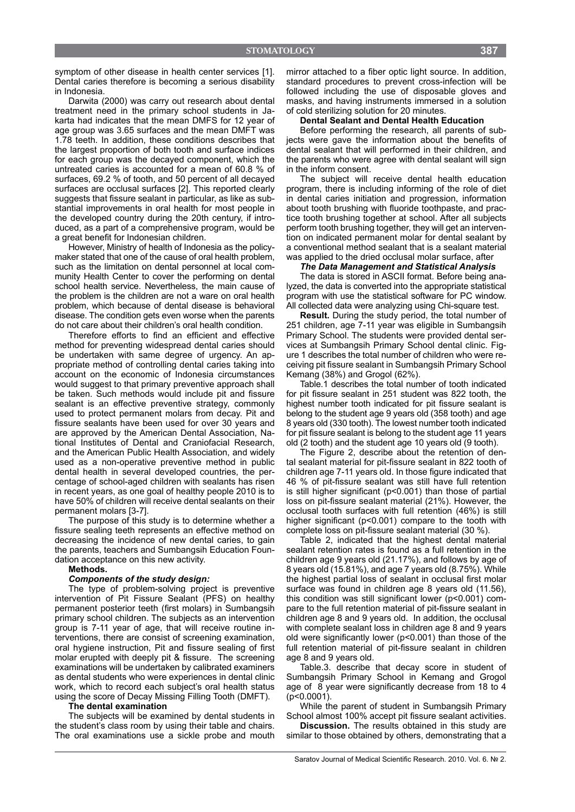symptom of other disease in health center services [1]. Dental caries therefore is becoming a serious disability in Indonesia.

Darwita (2000) was carry out research about dental treatment need in the primary school students in Jakarta had indicates that the mean DMFS for 12 year of age group was 3.65 surfaces and the mean DMFT was 1.78 teeth. In addition, these conditions describes that the largest proportion of both tooth and surface indices for each group was the decayed component, which the untreated caries is accounted for a mean of 60.8 % of surfaces, 69.2 % of tooth, and 50 percent of all decayed surfaces are occlusal surfaces [2]. This reported clearly suggests that fissure sealant in particular, as like as substantial improvements in oral health for most people in the developed country during the 20th century, if introduced, as a part of a comprehensive program, would be a great benefit for Indonesian children.

However, Ministry of health of Indonesia as the policymaker stated that one of the cause of oral health problem, such as the limitation on dental personnel at local community Health Center to cover the performing on dental school health service. Nevertheless, the main cause of the problem is the children are not a ware on oral health problem, which because of dental disease is behavioral disease. The condition gets even worse when the parents do not care about their children's oral health condition.

Therefore efforts to find an efficient and effective method for preventing widespread dental caries should be undertaken with same degree of urgency. An appropriate method of controlling dental caries taking into account on the economic of Indonesia circumstances would suggest to that primary preventive approach shall be taken. Such methods would include pit and fissure sealant is an effective preventive strategy, commonly used to protect permanent molars from decay. Pit and fissure sealants have been used for over 30 years and are approved by the American Dental Association, National Institutes of Dental and Craniofacial Research, and the American Public Health Association, and widely used as a non-operative preventive method in public dental health in several developed countries, the percentage of school-aged children with sealants has risen in recent years, as one goal of healthy people 2010 is to have 50% of children will receive dental sealants on their permanent molars [3-7].

The purpose of this study is to determine whether a fissure sealing teeth represents an effective method on decreasing the incidence of new dental caries, to gain the parents, teachers and Sumbangsih Education Foundation acceptance on this new activity.

#### **Methods.**

## *Components of the study design:*

The type of problem-solving project is preventive intervention of Pit Fissure Sealant (PFS) on healthy permanent posterior teeth (first molars) in Sumbangsih primary school children. The subjects as an intervention group is 7-11 year of age, that will receive routine interventions, there are consist of screening examination, oral hygiene instruction, Pit and fissure sealing of first molar erupted with deeply pit & fissure. The screening examinations will be undertaken by calibrated examiners as dental students who were experiences in dental clinic work, which to record each subject's oral health status using the score of Decay Missing Filling Tooth (DMFT).

#### **The dental examination**

The subjects will be examined by dental students in the student's class room by using their table and chairs. The oral examinations use a sickle probe and mouth

mirror attached to a fiber optic light source. In addition, standard procedures to prevent cross-infection will be followed including the use of disposable gloves and masks, and having instruments immersed in a solution of cold sterilizing solution for 20 minutes.

#### **Dental Sealant and Dental Health Education**

Before performing the research, all parents of subjects were gave the information about the benefits of dental sealant that will performed in their children, and the parents who were agree with dental sealant will sign in the inform consent.

The subject will receive dental health education program, there is including informing of the role of diet in dental caries initiation and progression, information about tooth brushing with fluoride toothpaste, and practice tooth brushing together at school. After all subjects perform tooth brushing together, they will get an intervention on indicated permanent molar for dental sealant by a conventional method sealant that is a sealant material was applied to the dried occlusal molar surface, after

## *The Data Management and Statistical Analysis*

The data is stored in ASCII format. Before being analyzed, the data is converted into the appropriate statistical program with use the statistical software for PC window. All collected data were analyzing using Chi-square test.

**Result.** During the study period, the total number of 251 children, age 7-11 year was eligible in Sumbangsih Primary School. The students were provided dental services at Sumbangsih Primary School dental clinic. Figure 1 describes the total number of children who were receiving pit fissure sealant in Sumbangsih Primary School Kemang (38%) and Grogol (62%).

Table.1 describes the total number of tooth indicated for pit fissure sealant in 251 student was 822 tooth, the highest number tooth indicated for pit fissure sealant is belong to the student age 9 years old (358 tooth) and age 8 years old (330 tooth). The lowest number tooth indicated for pit fissure sealant is belong to the student age 11 years old (2 tooth) and the student age 10 years old (9 tooth).

The Figure 2, describe about the retention of dental sealant material for pit-fissure sealant in 822 tooth of children age 7-11 years old. In those figure indicated that 46 % of pit-fissure sealant was still have full retention is still higher significant (p<0.001) than those of partial loss on pit-fissure sealant material (21%). However, the occlusal tooth surfaces with full retention (46%) is still higher significant (p<0.001) compare to the tooth with complete loss on pit-fissure sealant material (30 %).

Table 2, indicated that the highest dental material sealant retention rates is found as a full retention in the children age 9 years old (21.17%), and follows by age of 8 years old (15.81%), and age 7 years old (8.75%). While the highest partial loss of sealant in occlusal first molar surface was found in children age 8 years old (11.56), this condition was still significant lower (p<0.001) compare to the full retention material of pit-fissure sealant in children age 8 and 9 years old. In addition, the occlusal with complete sealant loss in children age 8 and 9 years old were significantly lower (p<0.001) than those of the full retention material of pit-fissure sealant in children age 8 and 9 years old.

Table.3. describe that decay score in student of Sumbangsih Primary School in Kemang and Grogol age of 8 year were significantly decrease from 18 to 4  $(p<0.0001)$ .

While the parent of student in Sumbangsih Primary School almost 100% accept pit fissure sealant activities.

**Discussion.** The results obtained in this study are similar to those obtained by others, demonstrating that a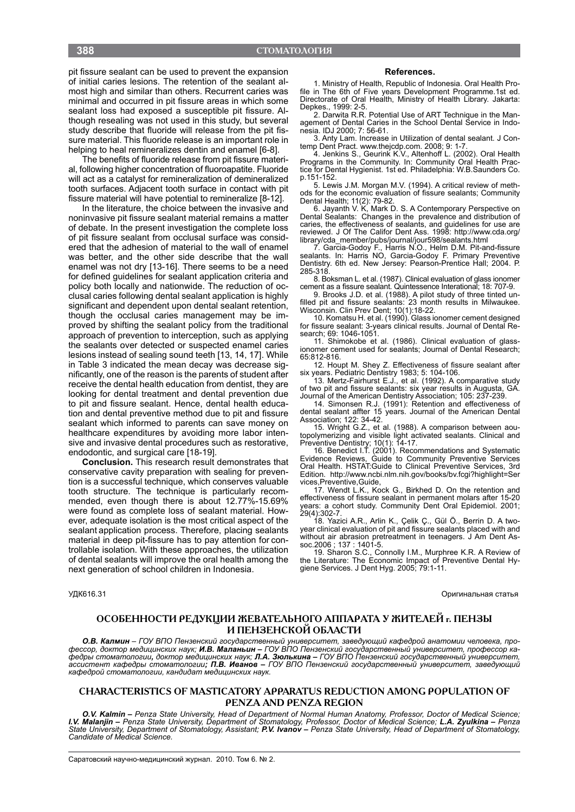pit fissure sealant can be used to prevent the expansion of initial caries lesions. The retention of the sealant almost high and similar than others. Recurrent caries was minimal and occurred in pit fissure areas in which some sealant loss had exposed a susceptible pit fissure. Although resealing was not used in this study, but several study describe that fluoride will release from the pit fissure material. This fluoride release is an important role in helping to heal remineralizes dentin and enamel [6-8].

The benefits of fluoride release from pit fissure material, following higher concentration of fluoroapatite. Fluoride will act as a catalyst for remineralization of demineralized tooth surfaces. Adjacent tooth surface in contact with pit fissure material will have potential to remineralize [8-12].

In the literature, the choice between the invasive and noninvasive pit fissure sealant material remains a matter of debate. In the present investigation the complete loss of pit fissure sealant from occlusal surface was considered that the adhesion of material to the wall of enamel was better, and the other side describe that the wall enamel was not dry [13-16]. There seems to be a need for defined guidelines for sealant application criteria and policy both locally and nationwide. The reduction of occlusal caries following dental sealant application is highly significant and dependent upon dental sealant retention, though the occlusal caries management may be improved by shifting the sealant policy from the traditional approach of prevention to interception, such as applying the sealants over detected or suspected enamel caries lesions instead of sealing sound teeth [13, 14, 17]. While in Table 3 indicated the mean decay was decrease significantly, one of the reason is the parents of student after receive the dental health education from dentist, they are looking for dental treatment and dental prevention due to pit and fissure sealant. Hence, dental health education and dental preventive method due to pit and fissure sealant which informed to parents can save money on healthcare expenditures by avoiding more labor intensive and invasive dental procedures such as restorative, endodontic, and surgical care [18-19].

**Conclusion.** This research result demonstrates that conservative cavity preparation with sealing for prevention is a successful technique, which conserves valuable tooth structure. The technique is particularly recommended, even though there is about 12.77%-15.69% were found as complete loss of sealant material. However, adequate isolation is the most critical aspect of the sealant application process. Therefore, placing sealants material in deep pit-fissure has to pay attention for controllable isolation. With these approaches, the utilization of dental sealants will improve the oral health among the next generation of school children in Indonesia.

## **References.**

1. Ministry of Health, Republic of Indonesia. Oral Health Profile in The 6th of Five years Development Programme.1st ed. Directorate of Oral Health, Ministry of Health Library. Jakarta: Depkes., 1999: 2-5.

2. Darwita R.R. Potential Use of ART Technique in the Management of Dental Caries in the School Dental Service in Indonesia. IDJ 2000; 7: 56-61.

3. Anty Lam. Increase in Utilization of dental sealant. J Contemp Dent Pract. www.thejcdp.com. 2008; 9: 1-7.

4. Jenkins S., Geurink K.V., Altenhoff L. (2002). Oral Health Programs in the Community. In: Community Oral Health Practice for Dental Hygienist. 1st ed. Philadelphia: W.B.Saunders Co. p.151-152.

5. Lewis J.M. Morgan M.V. (1994). A critical review of methods for the economic evaluation of fissure sealants; Community Dental Health; 11(2): 79-82.

6. Jayanth V. K, Mark D. S. A Contemporary Perspective on Dental Sealants: Changes in the prevalence and distribution of caries, the effectiveness of sealants, and guidelines for use are reviewed. J Of The Califor Dent Ass. 1998: http://www.cda.org/ library/cda\_member/pubs/journal/jour598/sealants.html

7. Garcia-Godoy F., Harris N.O., Helm D.M. Pit-and-fissure sealants. In: Harris NO, Garcia-Godoy F. Primary Preventive Dentistry. 6th ed. New Jersey: Pearson-Prentice Hall; 2004. Р. 285-318.

8. Boksman L. et al. (1987). Clinical evaluation of glass ionomer cement as a fissure sealant. Quintessence Interational; 18: 707-9.

9. Brooks J.D. et al. (1988). A pilot study of three tinted unfilled pit and fissure sealants: 23 month results in Milwaukee. Wisconsin. Clin Prev Dent; 10(1):18-22.

10. Komatsu H. et al. (1990). Glass ionomer cement designed for fissure sealant: 3-years clinical results. Journal of Dental Research; 69: 1046-1051.

11. Shimokobe et al. (1986). Clinical evaluation of glassionomer cement used for sealants; Journal of Dental Research; 65:812-816.

12. Houpt M. Shey Z. Effectiveness of fissure sealant after six years. Pediatric Dentistry 1983; 5: 104-106.

13. Mertz-Fairhurst E.J., et al. (1992). A comparative study of two pit and fissure sealants: six year results in Augusta, GA. Journal of the American Dentistry Association; 105: 237-239.

14. Simonsen R.J. (1991): Retention and effectiveness of dental sealant affter 15 years. Journal of the American Dental Association; 122: 34-42.

15. Wright G.Z., et al. (1988). A comparison between aoutopolymerizing and visible light activated sealants. Clinical and Preventive Dentistry; 10(1): 14-17.

16. Benedict I.T. (2001). Recommendations and Systematic Evidence Reviews, Guide to Community Preventive Services Oral Health. HSTAT:Guide to Clinical Preventive Services, 3rd Edition. http://www.ncbi.nlm.nih.gov/books/bv.fcgi?highlight=Ser vices,Preventive,Guide,

17. Wendt L.K., Kock G., Birkhed D. On the retention and effectiveness of fissure sealant in permanent molars after 15-20 years: a cohort study. Community Dent Oral Epidemiol. 2001; 29(4):302-7.

18. Yazici A.R., Arlin K., Çelik Ç., Gül Ö., Berrin D. A twoyear clinical evaluation of pit and fissure sealants placed with and without air abrasion pretreatment in teenagers. J Am Dent Assoc.2006 ; 137 : 1401-5.

19. Sharon S.C., Connolly I.M., Murphree K.R. A Review of the Literature: The Economic Impact of Preventive Dental Hygiene Services. J Dent Hyg. 2005; 79:1-11.

УДК616.31 Оригинальная статья

# **Особенности редукции жевательного аппарата у жителей г. Пензы и Пензенской области**

*О.В. Калмин – ГОУ ВПО Пензенский государственный университет, заведующий кафедрой анатомии человека, профессор, доктор медицинских наук; И.В. Маланьин – ГОУ ВПО Пензенский государственный университет, профессор кафедры стоматологии, доктор медицинских наук; Л.А. Зюлькина – ГОУ ВПО Пензенский государственный университет, ассистент кафедры стоматологии; П.В. Иванов – ГОУ ВПО Пензенский государственный университет, заведующий кафедрой стоматологии, кандидат медицинских наук.*

# **Characteristics of masticatory apparatus reduction among population of Penza and Penza region**

*O.V. Kalmin – Penza State University, Head of Department of Normal Human Anatomy, Professor, Doctor of Medical Science; I.V. Malanjin – Penza State University, Department of Stomatology, Professor, Doctor of Medical Science; L.A. Zyulkina – Penza State University, Department of Stomatology, Assistant; P.V. Ivanov – Penza State University, Head of Department of Stomatology, Candidate of Medical Science.*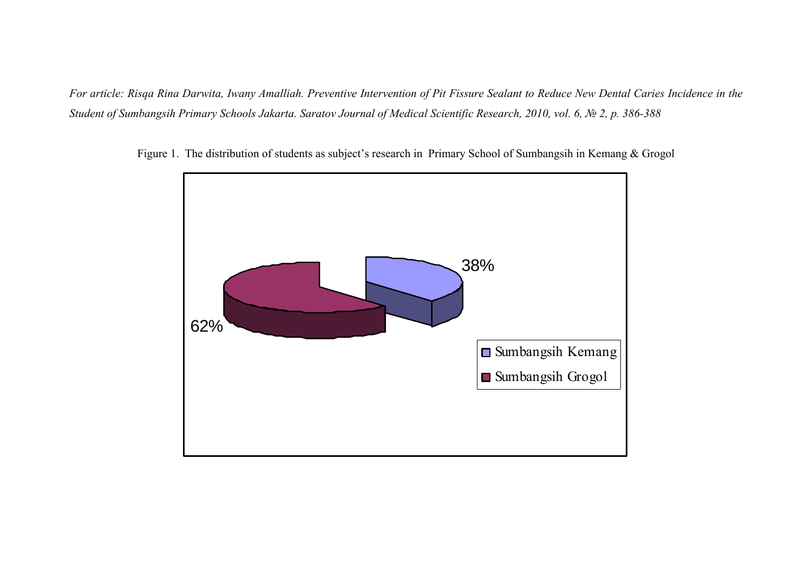*For article: Risqa Rina Darwita, Iwany Amalliah. Preventive Intervention of Pit Fissure Sealant to Reduce New Dental Caries Incidence in the Student of Sumbangsih Primary Schools Jakarta. Saratov Journal of Medical Scientific Research, 2010, vol. 6, № 2, p. 386-388* 



Figure 1. The distribution of students as subject's research in Primary School of Sumbangsih in Kemang & Grogol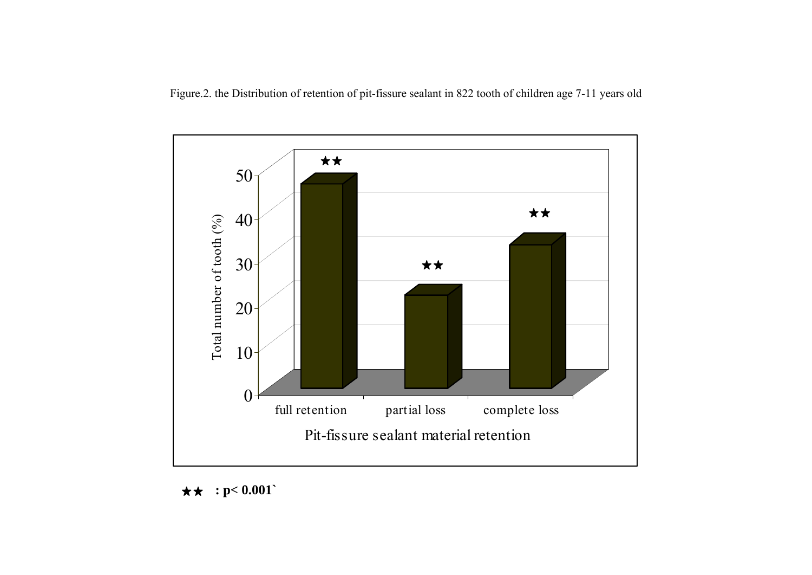Figure.2. the Distribution of retention of pit-fissure sealant in 822 tooth of children age 7-11 years old



 $\star \star : p < 0.001$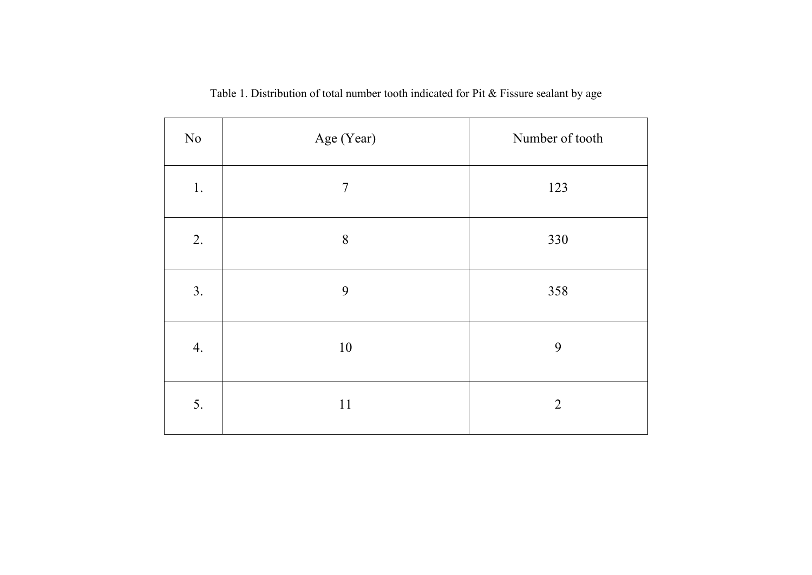| No   | Age (Year)     | Number of tooth |
|------|----------------|-----------------|
| $1.$ | $\overline{7}$ | 123             |
| 2.   | 8              | 330             |
| 3.   | 9              | 358             |
| 4.   | $10\,$         | 9               |
| 5.   | 11             | $\overline{2}$  |

Table 1. Distribution of total number tooth indicated for Pit & Fissure sealant by age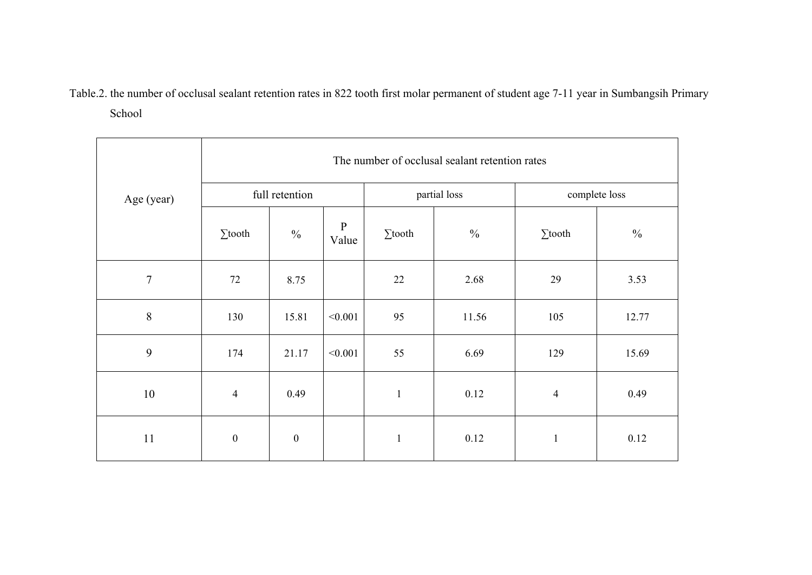Table.2. the number of occlusal sealant retention rates in 822 tooth first molar permanent of student age 7-11 year in Sumbangsih Primary School

|            | The number of occlusal sealant retention rates |                  |                       |                |               |                |               |
|------------|------------------------------------------------|------------------|-----------------------|----------------|---------------|----------------|---------------|
| Age (year) | full retention                                 |                  | partial loss          |                | complete loss |                |               |
|            | $\Sigma$ tooth                                 | $\frac{0}{0}$    | $\mathbf{P}$<br>Value | $\Sigma$ tooth | $\frac{0}{0}$ | $\Sigma$ tooth | $\frac{0}{0}$ |
| 7          | $72\,$                                         | 8.75             |                       | 22             | 2.68          | 29             | 3.53          |
| $\, 8$     | 130                                            | 15.81            | < 0.001               | 95             | 11.56         | 105            | 12.77         |
| 9          | 174                                            | 21.17            | < 0.001               | 55             | 6.69          | 129            | 15.69         |
| 10         | $\overline{4}$                                 | 0.49             |                       | $\,1$          | 0.12          | $\overline{4}$ | 0.49          |
| 11         | $\boldsymbol{0}$                               | $\boldsymbol{0}$ |                       | $\mathbf{1}$   | 0.12          | $\mathbf{1}$   | 0.12          |